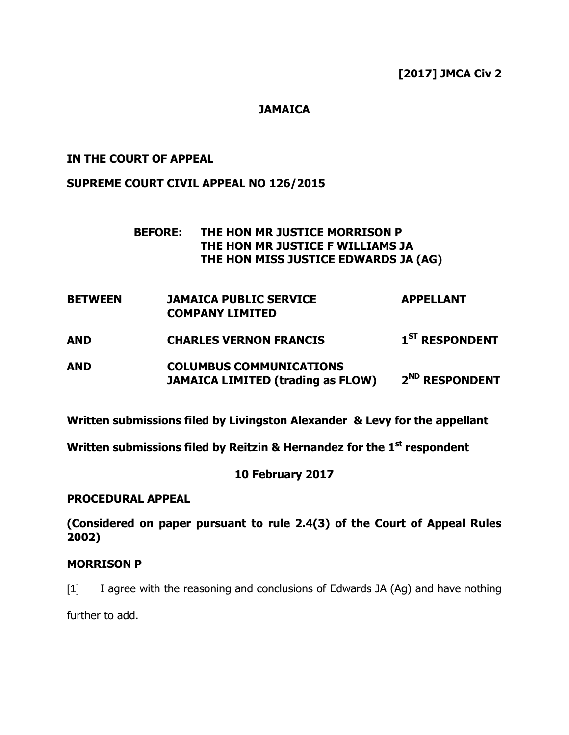**[2017] JMCA Civ 2**

# **JAMAICA**

## **IN THE COURT OF APPEAL**

## **SUPREME COURT CIVIL APPEAL NO 126/2015**

## **BEFORE: THE HON MR JUSTICE MORRISON P THE HON MR JUSTICE F WILLIAMS JA THE HON MISS JUSTICE EDWARDS JA (AG)**

- **BETWEEN JAMAICA PUBLIC SERVICE APPELLANT COMPANY LIMITED**
- **AND CHARLES VERNON FRANCIS 1 ST RESPONDENT**
- **AND COLUMBUS COMMUNICATIONS JAMAICA LIMITED (trading as FLOW) 2 ND RESPONDENT**

**Written submissions filed by Livingston Alexander & Levy for the appellant**

**Written submissions filed by Reitzin & Hernandez for the 1 st respondent**

## **10 February 2017**

### **PROCEDURAL APPEAL**

**(Considered on paper pursuant to rule 2.4(3) of the Court of Appeal Rules 2002)**

## **MORRISON P**

[1] I agree with the reasoning and conclusions of Edwards JA (Ag) and have nothing

further to add.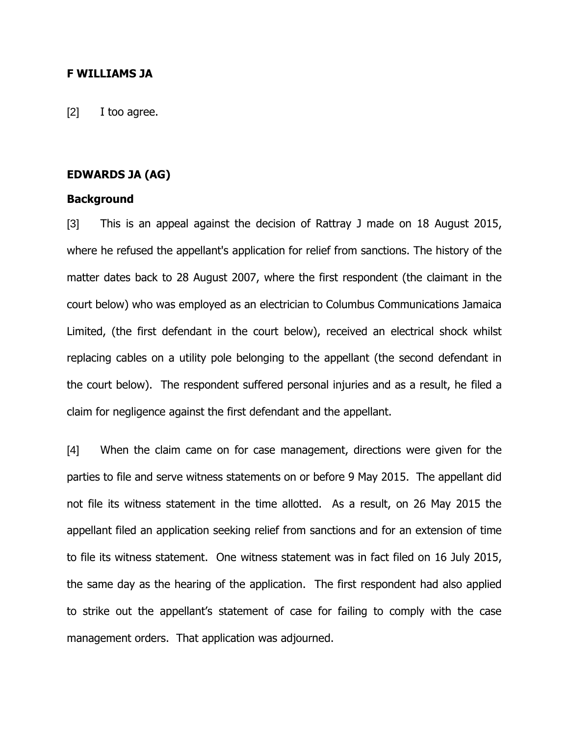#### **F WILLIAMS JA**

[2] I too agree.

## **EDWARDS JA (AG)**

#### **Background**

[3] This is an appeal against the decision of Rattray J made on 18 August 2015, where he refused the appellant's application for relief from sanctions. The history of the matter dates back to 28 August 2007, where the first respondent (the claimant in the court below) who was employed as an electrician to Columbus Communications Jamaica Limited, (the first defendant in the court below), received an electrical shock whilst replacing cables on a utility pole belonging to the appellant (the second defendant in the court below). The respondent suffered personal injuries and as a result, he filed a claim for negligence against the first defendant and the appellant.

[4] When the claim came on for case management, directions were given for the parties to file and serve witness statements on or before 9 May 2015. The appellant did not file its witness statement in the time allotted. As a result, on 26 May 2015 the appellant filed an application seeking relief from sanctions and for an extension of time to file its witness statement. One witness statement was in fact filed on 16 July 2015, the same day as the hearing of the application. The first respondent had also applied to strike out the appellant"s statement of case for failing to comply with the case management orders. That application was adjourned.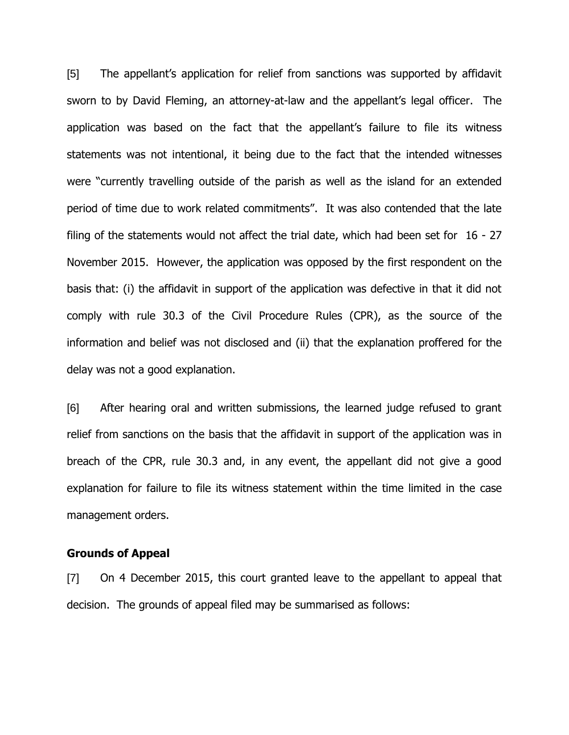[5] The appellant"s application for relief from sanctions was supported by affidavit sworn to by David Fleming, an attorney-at-law and the appellant"s legal officer. The application was based on the fact that the appellant"s failure to file its witness statements was not intentional, it being due to the fact that the intended witnesses were "currently travelling outside of the parish as well as the island for an extended period of time due to work related commitments". It was also contended that the late filing of the statements would not affect the trial date, which had been set for 16 - 27 November 2015. However, the application was opposed by the first respondent on the basis that: (i) the affidavit in support of the application was defective in that it did not comply with rule 30.3 of the Civil Procedure Rules (CPR), as the source of the information and belief was not disclosed and (ii) that the explanation proffered for the delay was not a good explanation.

[6] After hearing oral and written submissions, the learned judge refused to grant relief from sanctions on the basis that the affidavit in support of the application was in breach of the CPR, rule 30.3 and, in any event, the appellant did not give a good explanation for failure to file its witness statement within the time limited in the case management orders.

### **Grounds of Appeal**

[7] On 4 December 2015, this court granted leave to the appellant to appeal that decision. The grounds of appeal filed may be summarised as follows: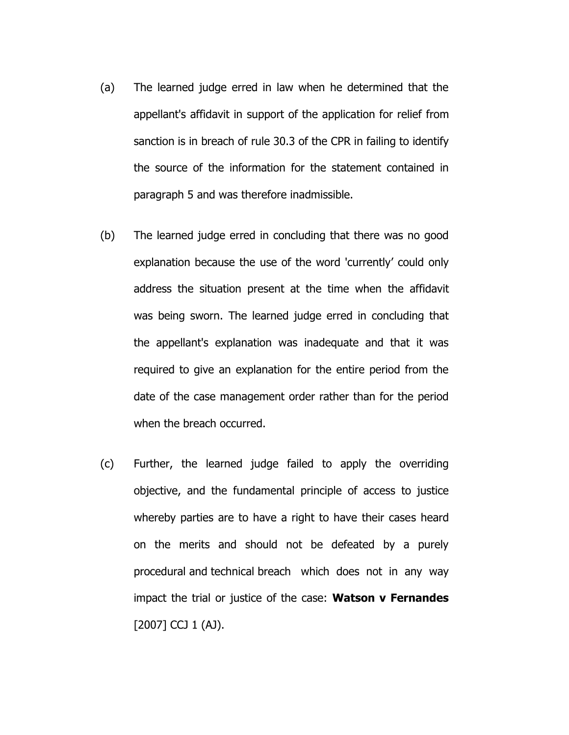- (a) The learned judge erred in law when he determined that the appellant's affidavit in support of the application for relief from sanction is in breach of rule 30.3 of the CPR in failing to identify the source of the information for the statement contained in paragraph 5 and was therefore inadmissible.
- (b) The learned judge erred in concluding that there was no good explanation because the use of the word 'currently" could only address the situation present at the time when the affidavit was being sworn. The learned judge erred in concluding that the appellant's explanation was inadequate and that it was required to give an explanation for the entire period from the date of the case management order rather than for the period when the breach occurred.
- (c) Further, the learned judge failed to apply the overriding objective, and the fundamental principle of access to justice whereby parties are to have a right to have their cases heard on the merits and should not be defeated by a purely procedural and technical breach which does not in any way impact the trial or justice of the case: **Watson v Fernandes**   $[2007]$  CCJ 1 (AJ).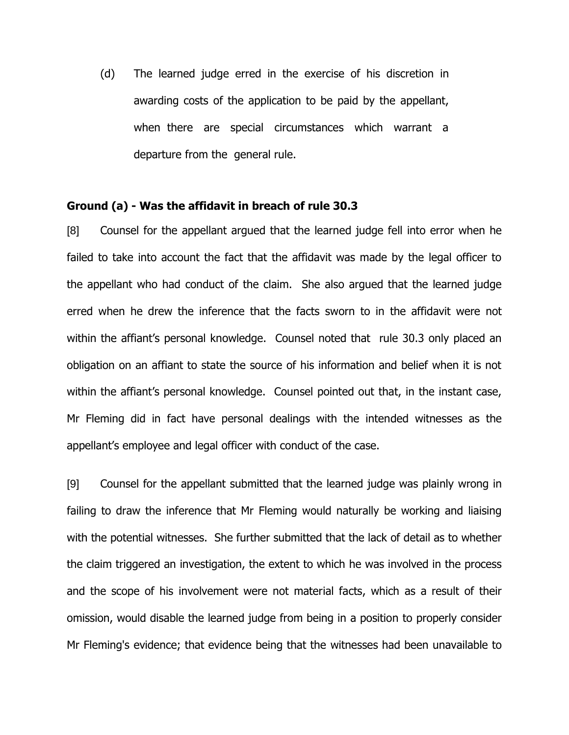(d) The learned judge erred in the exercise of his discretion in awarding costs of the application to be paid by the appellant, when there are special circumstances which warrant a departure from the general rule.

## **Ground (a) - Was the affidavit in breach of rule 30.3**

[8] Counsel for the appellant argued that the learned judge fell into error when he failed to take into account the fact that the affidavit was made by the legal officer to the appellant who had conduct of the claim. She also argued that the learned judge erred when he drew the inference that the facts sworn to in the affidavit were not within the affiant's personal knowledge. Counsel noted that rule 30.3 only placed an obligation on an affiant to state the source of his information and belief when it is not within the affiant's personal knowledge. Counsel pointed out that, in the instant case, Mr Fleming did in fact have personal dealings with the intended witnesses as the appellant"s employee and legal officer with conduct of the case.

[9] Counsel for the appellant submitted that the learned judge was plainly wrong in failing to draw the inference that Mr Fleming would naturally be working and liaising with the potential witnesses. She further submitted that the lack of detail as to whether the claim triggered an investigation, the extent to which he was involved in the process and the scope of his involvement were not material facts, which as a result of their omission, would disable the learned judge from being in a position to properly consider Mr Fleming's evidence; that evidence being that the witnesses had been unavailable to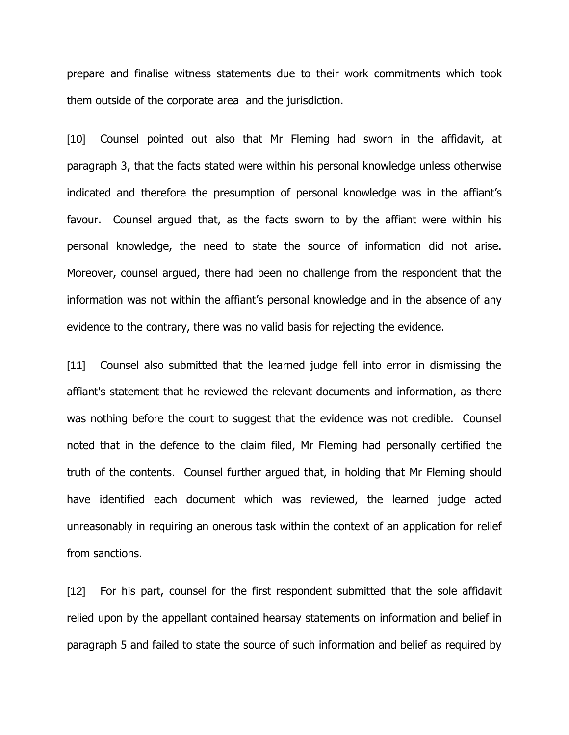prepare and finalise witness statements due to their work commitments which took them outside of the corporate area and the jurisdiction.

[10] Counsel pointed out also that Mr Fleming had sworn in the affidavit, at paragraph 3, that the facts stated were within his personal knowledge unless otherwise indicated and therefore the presumption of personal knowledge was in the affiant's favour. Counsel argued that, as the facts sworn to by the affiant were within his personal knowledge, the need to state the source of information did not arise. Moreover, counsel argued, there had been no challenge from the respondent that the information was not within the affiant's personal knowledge and in the absence of any evidence to the contrary, there was no valid basis for rejecting the evidence.

[11] Counsel also submitted that the learned judge fell into error in dismissing the affiant's statement that he reviewed the relevant documents and information, as there was nothing before the court to suggest that the evidence was not credible. Counsel noted that in the defence to the claim filed, Mr Fleming had personally certified the truth of the contents. Counsel further argued that, in holding that Mr Fleming should have identified each document which was reviewed, the learned judge acted unreasonably in requiring an onerous task within the context of an application for relief from sanctions.

[12] For his part, counsel for the first respondent submitted that the sole affidavit relied upon by the appellant contained hearsay statements on information and belief in paragraph 5 and failed to state the source of such information and belief as required by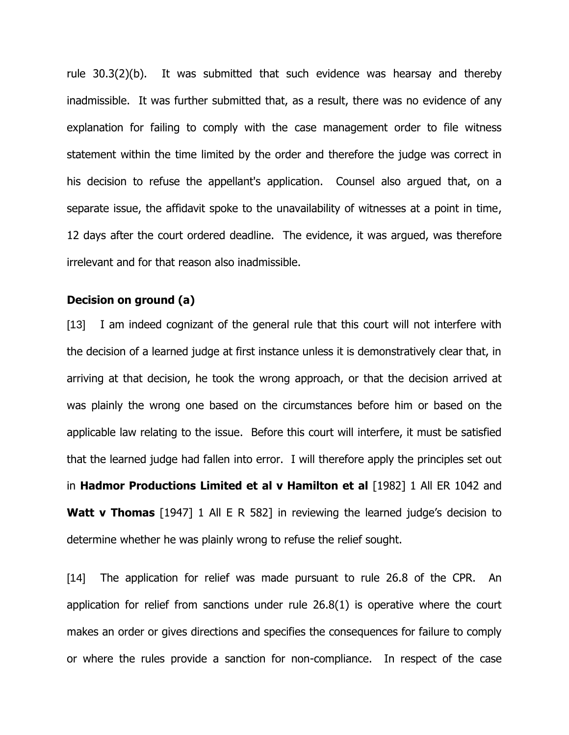rule 30.3(2)(b). It was submitted that such evidence was hearsay and thereby inadmissible. It was further submitted that, as a result, there was no evidence of any explanation for failing to comply with the case management order to file witness statement within the time limited by the order and therefore the judge was correct in his decision to refuse the appellant's application. Counsel also argued that, on a separate issue, the affidavit spoke to the unavailability of witnesses at a point in time, 12 days after the court ordered deadline. The evidence, it was argued, was therefore irrelevant and for that reason also inadmissible.

## **Decision on ground (a)**

[13] I am indeed cognizant of the general rule that this court will not interfere with the decision of a learned judge at first instance unless it is demonstratively clear that, in arriving at that decision, he took the wrong approach, or that the decision arrived at was plainly the wrong one based on the circumstances before him or based on the applicable law relating to the issue. Before this court will interfere, it must be satisfied that the learned judge had fallen into error. I will therefore apply the principles set out in **Hadmor Productions Limited et al v Hamilton et al** [1982] 1 All ER 1042 and **Watt v Thomas** [1947] 1 All E R 582] in reviewing the learned judge's decision to determine whether he was plainly wrong to refuse the relief sought.

[14] The application for relief was made pursuant to rule 26.8 of the CPR. An application for relief from sanctions under rule 26.8(1) is operative where the court makes an order or gives directions and specifies the consequences for failure to comply or where the rules provide a sanction for non-compliance. In respect of the case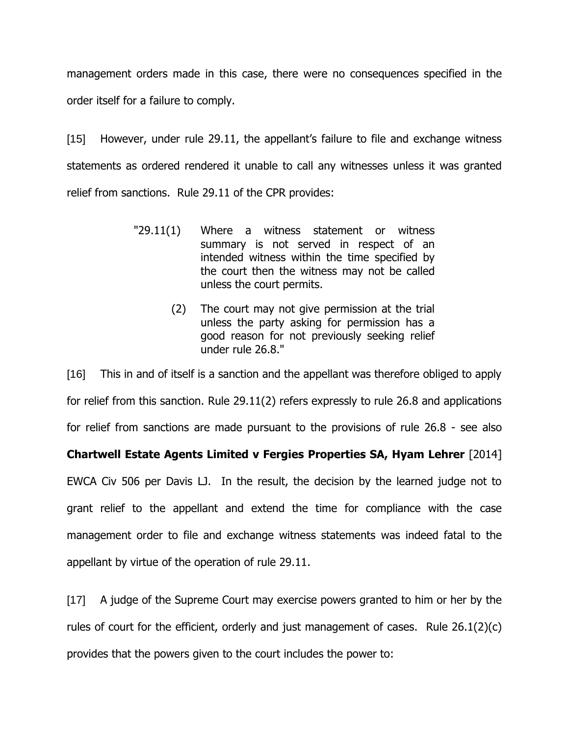management orders made in this case, there were no consequences specified in the order itself for a failure to comply.

[15] However, under rule 29.11, the appellant's failure to file and exchange witness statements as ordered rendered it unable to call any witnesses unless it was granted relief from sanctions. Rule 29.11 of the CPR provides:

- "29.11(1) Where a witness statement or witness summary is not served in respect of an intended witness within the time specified by the court then the witness may not be called unless the court permits.
	- (2) The court may not give permission at the trial unless the party asking for permission has a good reason for not previously seeking relief under rule 26.8."

[16] This in and of itself is a sanction and the appellant was therefore obliged to apply for relief from this sanction. Rule 29.11(2) refers expressly to rule 26.8 and applications for relief from sanctions are made pursuant to the provisions of rule 26.8 - see also

**Chartwell Estate Agents Limited v Fergies Properties SA, Hyam Lehrer** [2014]

EWCA Civ 506 per Davis LJ. In the result, the decision by the learned judge not to grant relief to the appellant and extend the time for compliance with the case management order to file and exchange witness statements was indeed fatal to the appellant by virtue of the operation of rule 29.11.

[17] A judge of the Supreme Court may exercise powers granted to him or her by the rules of court for the efficient, orderly and just management of cases. Rule 26.1(2)(c) provides that the powers given to the court includes the power to: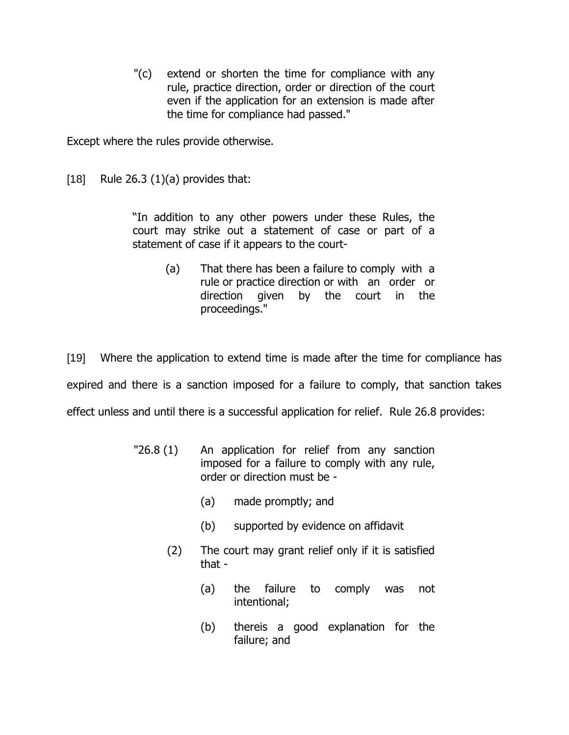"(c) extend or shorten the time for compliance with any rule, practice direction, order or direction of the court even if the application for an extension is made after the time for compliance had passed."

Except where the rules provide otherwise.

 $[18]$  Rule 26.3  $(1)(a)$  provides that:

"In addition to any other powers under these Rules, the court may strike out a statement of case or part of a statement of case if it appears to the court-

> (a) That there has been a failure to comply with a rule or practice direction or with an order or direction given by the court in the proceedings."

[19] Where the application to extend time is made after the time for compliance has expired and there is a sanction imposed for a failure to comply, that sanction takes effect unless and until there is a successful application for relief. Rule 26.8 provides:

- "26.8 (1) An application for relief from any sanction imposed for a failure to comply with any rule, order or direction must be -
	- (a) made promptly; and
	- (b) supported by evidence on affidavit
	- (2) The court may grant relief only if it is satisfied that -
		- (a) the failure to comply was not intentional;
		- (b) thereis a good explanation for the failure; and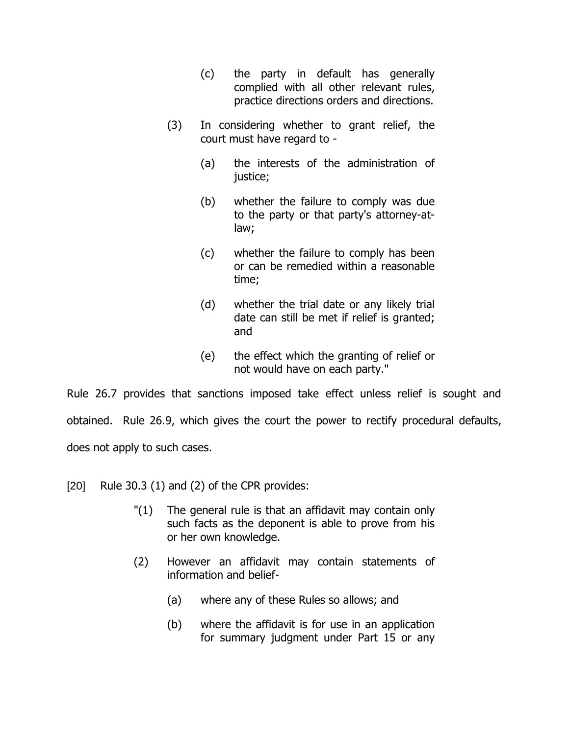- (c) the party in default has generally complied with all other relevant rules, practice directions orders and directions.
- (3) In considering whether to grant relief, the court must have regard to -
	- (a) the interests of the administration of justice;
	- (b) whether the failure to comply was due to the party or that party's attorney-atlaw;
	- (c) whether the failure to comply has been or can be remedied within a reasonable time;
	- (d) whether the trial date or any likely trial date can still be met if relief is granted; and
	- (e) the effect which the granting of relief or not would have on each party."

Rule 26.7 provides that sanctions imposed take effect unless relief is sought and obtained. Rule 26.9, which gives the court the power to rectify procedural defaults, does not apply to such cases.

- [20] Rule 30.3 (1) and (2) of the CPR provides:
	- "(1) The general rule is that an affidavit may contain only such facts as the deponent is able to prove from his or her own knowledge.
	- (2) However an affidavit may contain statements of information and belief-
		- (a) where any of these Rules so allows; and
		- (b) where the affidavit is for use in an application for summary judgment under Part 15 or any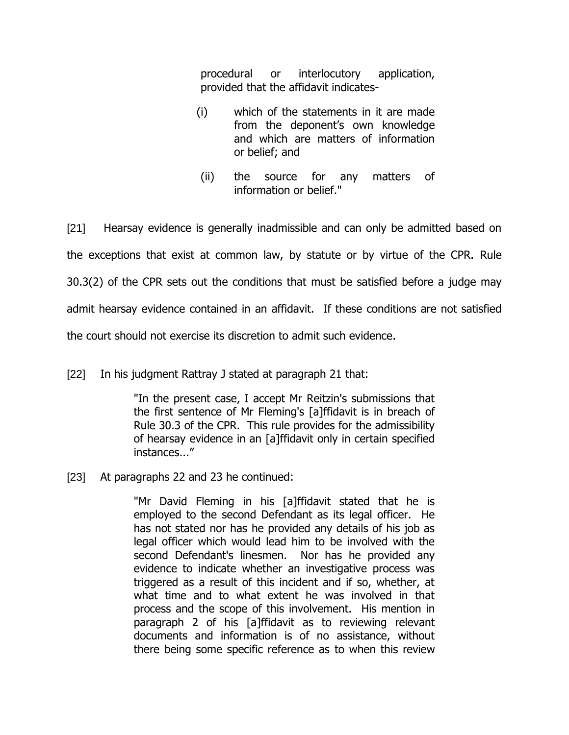procedural or interlocutory application, provided that the affidavit indicates-

- (i) which of the statements in it are made from the deponent's own knowledge and which are matters of information or belief; and
- (ii) the source for any matters of information or belief."

[21] Hearsay evidence is generally inadmissible and can only be admitted based on the exceptions that exist at common law, by statute or by virtue of the CPR. Rule 30.3(2) of the CPR sets out the conditions that must be satisfied before a judge may admit hearsay evidence contained in an affidavit. If these conditions are not satisfied the court should not exercise its discretion to admit such evidence.

[22] In his judgment Rattray J stated at paragraph 21 that:

"In the present case, I accept Mr Reitzin's submissions that the first sentence of Mr Fleming's [a]ffidavit is in breach of Rule 30.3 of the CPR. This rule provides for the admissibility of hearsay evidence in an [a]ffidavit only in certain specified instances..."

[23] At paragraphs 22 and 23 he continued:

"Mr David Fleming in his [a]ffidavit stated that he is employed to the second Defendant as its legal officer. He has not stated nor has he provided any details of his job as legal officer which would lead him to be involved with the second Defendant's linesmen. Nor has he provided any evidence to indicate whether an investigative process was triggered as a result of this incident and if so, whether, at what time and to what extent he was involved in that process and the scope of this involvement. His mention in paragraph 2 of his [a]ffidavit as to reviewing relevant documents and information is of no assistance, without there being some specific reference as to when this review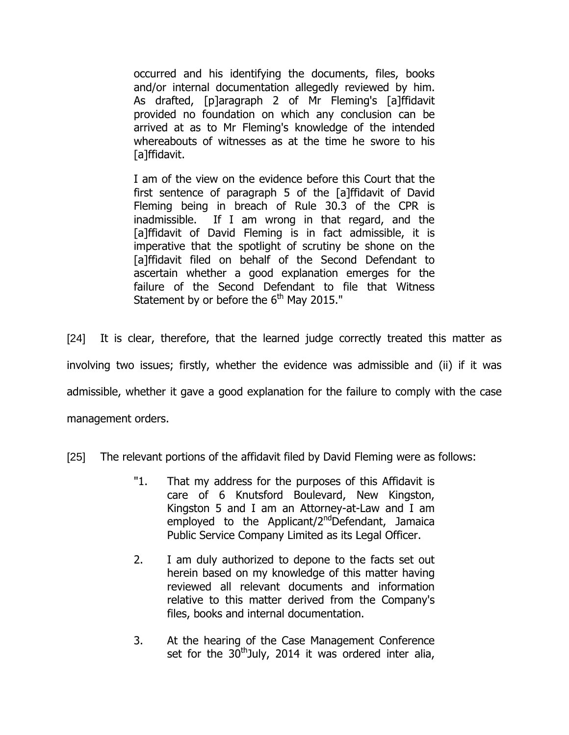occurred and his identifying the documents, files, books and/or internal documentation allegedly reviewed by him. As drafted, [p]aragraph 2 of Mr Fleming's [a]ffidavit provided no foundation on which any conclusion can be arrived at as to Mr Fleming's knowledge of the intended whereabouts of witnesses as at the time he swore to his [a]ffidavit.

I am of the view on the evidence before this Court that the first sentence of paragraph 5 of the [a]ffidavit of David Fleming being in breach of Rule 30.3 of the CPR is inadmissible. If I am wrong in that regard, and the [a]ffidavit of David Fleming is in fact admissible, it is imperative that the spotlight of scrutiny be shone on the [a]ffidavit filed on behalf of the Second Defendant to ascertain whether a good explanation emerges for the failure of the Second Defendant to file that Witness Statement by or before the  $6<sup>th</sup>$  May 2015."

[24] It is clear, therefore, that the learned judge correctly treated this matter as involving two issues; firstly, whether the evidence was admissible and (ii) if it was admissible, whether it gave a good explanation for the failure to comply with the case management orders.

[25] The relevant portions of the affidavit filed by David Fleming were as follows:

- "1. That my address for the purposes of this Affidavit is care of 6 Knutsford Boulevard, New Kingston, Kingston 5 and I am an Attorney-at-Law and I am employed to the Applicant/ $2^{nd}$ Defendant, Jamaica Public Service Company Limited as its Legal Officer.
- 2. I am duly authorized to depone to the facts set out herein based on my knowledge of this matter having reviewed all relevant documents and information relative to this matter derived from the Company's files, books and internal documentation.
- 3. At the hearing of the Case Management Conference set for the  $30<sup>th</sup>$ July, 2014 it was ordered inter alia,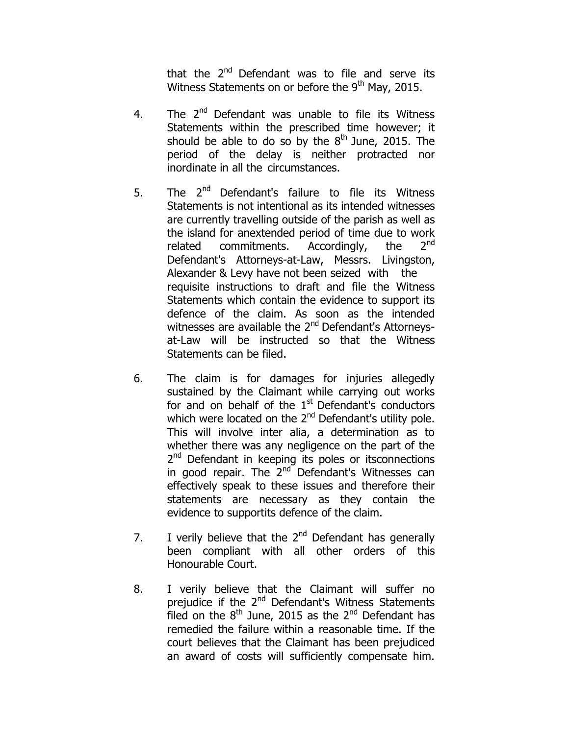that the 2<sup>nd</sup> Defendant was to file and serve its Witness Statements on or before the  $9<sup>th</sup>$  May, 2015.

- 4. The 2<sup>nd</sup> Defendant was unable to file its Witness Statements within the prescribed time however; it should be able to do so by the  $8<sup>th</sup>$  June, 2015. The period of the delay is neither protracted nor inordinate in all the circumstances.
- 5. The  $2^{nd}$  Defendant's failure to file its Witness Statements is not intentional as its intended witnesses are currently travelling outside of the parish as well as the island for anextended period of time due to work related commitments. Accordingly, the  $2^{nd}$ Defendant's Attorneys-at-Law, Messrs. Livingston, Alexander & Levy have not been seized with the requisite instructions to draft and file the Witness Statements which contain the evidence to support its defence of the claim. As soon as the intended witnesses are available the 2<sup>nd</sup> Defendant's Attorneysat-Law will be instructed so that the Witness Statements can be filed.
- 6. The claim is for damages for injuries allegedly sustained by the Claimant while carrying out works for and on behalf of the  $1<sup>st</sup>$  Defendant's conductors which were located on the 2<sup>nd</sup> Defendant's utility pole. This will involve inter alia, a determination as to whether there was any negligence on the part of the 2<sup>nd</sup> Defendant in keeping its poles or itsconnections in good repair. The 2<sup>nd</sup> Defendant's Witnesses can effectively speak to these issues and therefore their statements are necessary as they contain the evidence to supportits defence of the claim.
- 7. I verily believe that the  $2^{nd}$  Defendant has generally been compliant with all other orders of this Honourable Court.
- 8. I verily believe that the Claimant will suffer no prejudice if the 2<sup>nd</sup> Defendant's Witness Statements filed on the  $8<sup>th</sup>$  June, 2015 as the  $2<sup>nd</sup>$  Defendant has remedied the failure within a reasonable time. If the court believes that the Claimant has been prejudiced an award of costs will sufficiently compensate him.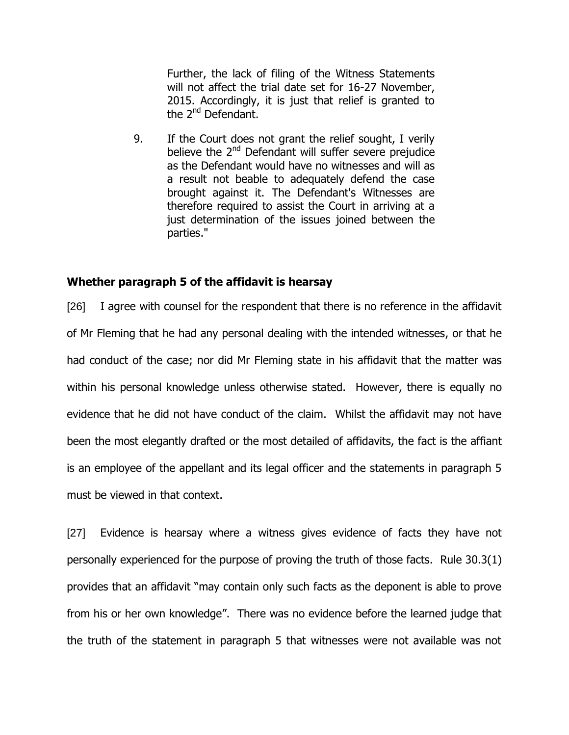Further, the lack of filing of the Witness Statements will not affect the trial date set for 16-27 November, 2015. Accordingly, it is just that relief is granted to the 2<sup>nd</sup> Defendant.

9. If the Court does not grant the relief sought, I verily believe the 2<sup>nd</sup> Defendant will suffer severe prejudice as the Defendant would have no witnesses and will as a result not beable to adequately defend the case brought against it. The Defendant's Witnesses are therefore required to assist the Court in arriving at a just determination of the issues joined between the parties."

### **Whether paragraph 5 of the affidavit is hearsay**

[26] I agree with counsel for the respondent that there is no reference in the affidavit of Mr Fleming that he had any personal dealing with the intended witnesses, or that he had conduct of the case; nor did Mr Fleming state in his affidavit that the matter was within his personal knowledge unless otherwise stated. However, there is equally no evidence that he did not have conduct of the claim. Whilst the affidavit may not have been the most elegantly drafted or the most detailed of affidavits, the fact is the affiant is an employee of the appellant and its legal officer and the statements in paragraph 5 must be viewed in that context.

[27] Evidence is hearsay where a witness gives evidence of facts they have not personally experienced for the purpose of proving the truth of those facts. Rule 30.3(1) provides that an affidavit "may contain only such facts as the deponent is able to prove from his or her own knowledge". There was no evidence before the learned judge that the truth of the statement in paragraph 5 that witnesses were not available was not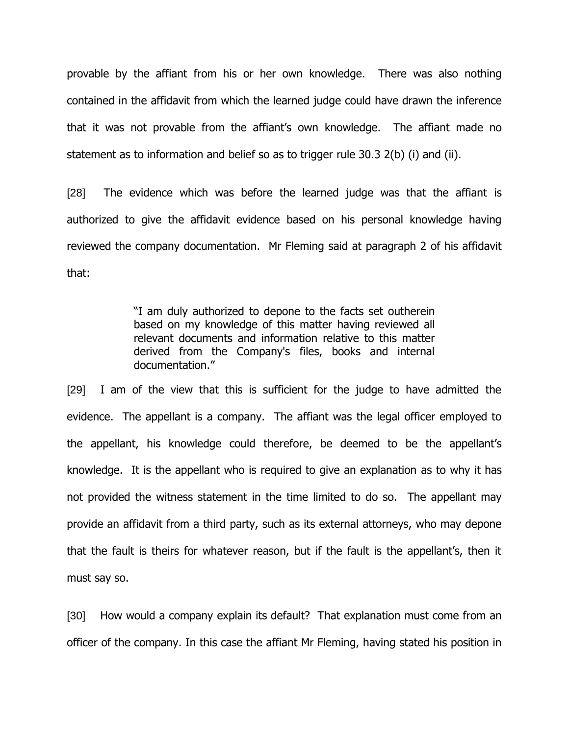provable by the affiant from his or her own knowledge. There was also nothing contained in the affidavit from which the learned judge could have drawn the inference that it was not provable from the affiant"s own knowledge. The affiant made no statement as to information and belief so as to trigger rule 30.3 2(b) (i) and (ii).

[28] The evidence which was before the learned judge was that the affiant is authorized to give the affidavit evidence based on his personal knowledge having reviewed the company documentation. Mr Fleming said at paragraph 2 of his affidavit that:

> "I am duly authorized to depone to the facts set outherein based on my knowledge of this matter having reviewed all relevant documents and information relative to this matter derived from the Company's files, books and internal documentation."

[29] I am of the view that this is sufficient for the judge to have admitted the evidence. The appellant is a company. The affiant was the legal officer employed to the appellant, his knowledge could therefore, be deemed to be the appellant"s knowledge. It is the appellant who is required to give an explanation as to why it has not provided the witness statement in the time limited to do so. The appellant may provide an affidavit from a third party, such as its external attorneys, who may depone that the fault is theirs for whatever reason, but if the fault is the appellant's, then it must say so.

[30] How would a company explain its default? That explanation must come from an officer of the company. In this case the affiant Mr Fleming, having stated his position in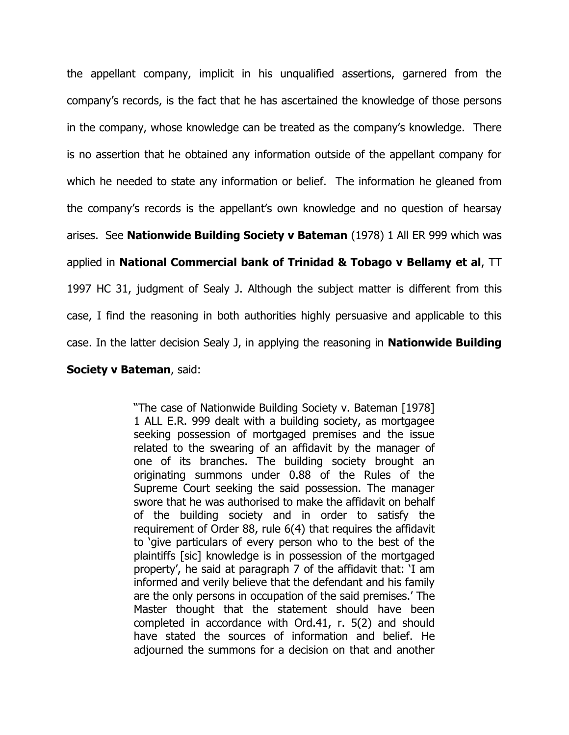the appellant company, implicit in his unqualified assertions, garnered from the company"s records, is the fact that he has ascertained the knowledge of those persons in the company, whose knowledge can be treated as the company"s knowledge. There is no assertion that he obtained any information outside of the appellant company for which he needed to state any information or belief. The information he gleaned from the company"s records is the appellant"s own knowledge and no question of hearsay arises. See **Nationwide Building Society v Bateman** (1978) 1 All ER 999 which was applied in **National Commercial bank of Trinidad & Tobago v Bellamy et al**, TT 1997 HC 31, judgment of Sealy J. Although the subject matter is different from this case, I find the reasoning in both authorities highly persuasive and applicable to this case. In the latter decision Sealy J, in applying the reasoning in **Nationwide Building** 

**Society v Bateman**, said:

"The case of Nationwide Building Society v. Bateman [1978] 1 ALL E.R. 999 dealt with a building society, as mortgagee seeking possession of mortgaged premises and the issue related to the swearing of an affidavit by the manager of one of its branches. The building society brought an originating summons under 0.88 of the Rules of the Supreme Court seeking the said possession. The manager swore that he was authorised to make the affidavit on behalf of the building society and in order to satisfy the requirement of Order 88, rule 6(4) that requires the affidavit to "give particulars of every person who to the best of the plaintiffs [sic] knowledge is in possession of the mortgaged property", he said at paragraph 7 of the affidavit that: "I am informed and verily believe that the defendant and his family are the only persons in occupation of the said premises." The Master thought that the statement should have been completed in accordance with Ord.41, r. 5(2) and should have stated the sources of information and belief. He adjourned the summons for a decision on that and another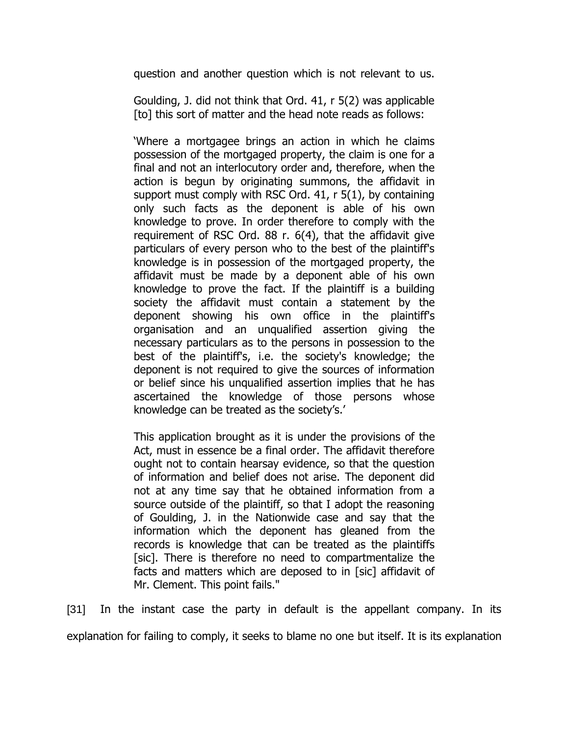question and another question which is not relevant to us.

Goulding, J. did not think that Ord. 41, r 5(2) was applicable [to] this sort of matter and the head note reads as follows:

"Where a mortgagee brings an action in which he claims possession of the mortgaged property, the claim is one for a final and not an interlocutory order and, therefore, when the action is begun by originating summons, the affidavit in support must comply with RSC Ord. 41, r 5(1), by containing only such facts as the deponent is able of his own knowledge to prove. In order therefore to comply with the requirement of RSC Ord. 88 r. 6(4), that the affidavit give particulars of every person who to the best of the plaintiff's knowledge is in possession of the mortgaged property, the affidavit must be made by a deponent able of his own knowledge to prove the fact. If the plaintiff is a building society the affidavit must contain a statement by the deponent showing his own office in the plaintiff's organisation and an unqualified assertion giving the necessary particulars as to the persons in possession to the best of the plaintiff's, i.e. the society's knowledge; the deponent is not required to give the sources of information or belief since his unqualified assertion implies that he has ascertained the knowledge of those persons whose knowledge can be treated as the society's.'

This application brought as it is under the provisions of the Act, must in essence be a final order. The affidavit therefore ought not to contain hearsay evidence, so that the question of information and belief does not arise. The deponent did not at any time say that he obtained information from a source outside of the plaintiff, so that I adopt the reasoning of Goulding, J. in the Nationwide case and say that the information which the deponent has gleaned from the records is knowledge that can be treated as the plaintiffs [sic]. There is therefore no need to compartmentalize the facts and matters which are deposed to in [sic] affidavit of Mr. Clement. This point fails."

[31] In the instant case the party in default is the appellant company. In its explanation for failing to comply, it seeks to blame no one but itself. It is its explanation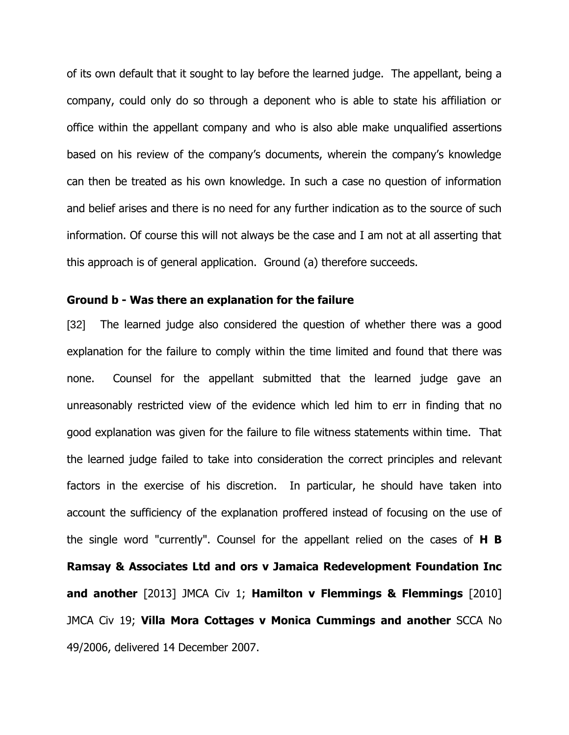of its own default that it sought to lay before the learned judge. The appellant, being a company, could only do so through a deponent who is able to state his affiliation or office within the appellant company and who is also able make unqualified assertions based on his review of the company"s documents, wherein the company"s knowledge can then be treated as his own knowledge. In such a case no question of information and belief arises and there is no need for any further indication as to the source of such information. Of course this will not always be the case and I am not at all asserting that this approach is of general application. Ground (a) therefore succeeds.

#### **Ground b - Was there an explanation for the failure**

[32] The learned judge also considered the question of whether there was a good explanation for the failure to comply within the time limited and found that there was none. Counsel for the appellant submitted that the learned judge gave an unreasonably restricted view of the evidence which led him to err in finding that no good explanation was given for the failure to file witness statements within time. That the learned judge failed to take into consideration the correct principles and relevant factors in the exercise of his discretion. In particular, he should have taken into account the sufficiency of the explanation proffered instead of focusing on the use of the single word "currently". Counsel for the appellant relied on the cases of **H B Ramsay & Associates Ltd and ors v Jamaica Redevelopment Foundation Inc and another** [2013] JMCA Civ 1; **Hamilton v Flemmings & Flemmings** [2010] JMCA Civ 19; **Villa Mora Cottages v Monica Cummings and another** SCCA No 49/2006, delivered 14 December 2007.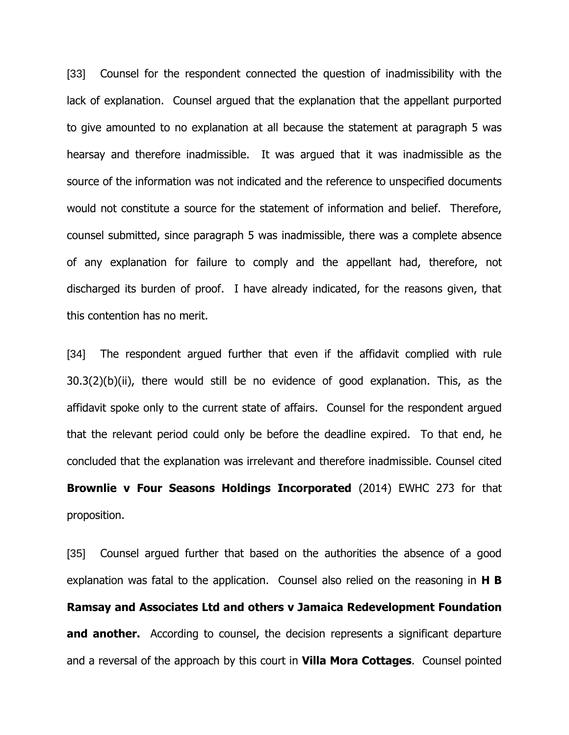[33] Counsel for the respondent connected the question of inadmissibility with the lack of explanation. Counsel argued that the explanation that the appellant purported to give amounted to no explanation at all because the statement at paragraph 5 was hearsay and therefore inadmissible. It was argued that it was inadmissible as the source of the information was not indicated and the reference to unspecified documents would not constitute a source for the statement of information and belief. Therefore, counsel submitted, since paragraph 5 was inadmissible, there was a complete absence of any explanation for failure to comply and the appellant had, therefore, not discharged its burden of proof. I have already indicated, for the reasons given, that this contention has no merit.

[34] The respondent argued further that even if the affidavit complied with rule 30.3(2)(b)(ii), there would still be no evidence of good explanation. This, as the affidavit spoke only to the current state of affairs. Counsel for the respondent argued that the relevant period could only be before the deadline expired. To that end, he concluded that the explanation was irrelevant and therefore inadmissible. Counsel cited **Brownlie v Four Seasons Holdings Incorporated** (2014) EWHC 273 for that proposition.

[35] Counsel argued further that based on the authorities the absence of a good explanation was fatal to the application. Counsel also relied on the reasoning in **H B Ramsay and Associates Ltd and others v Jamaica Redevelopment Foundation and another.** According to counsel, the decision represents a significant departure and a reversal of the approach by this court in **Villa Mora Cottages**. Counsel pointed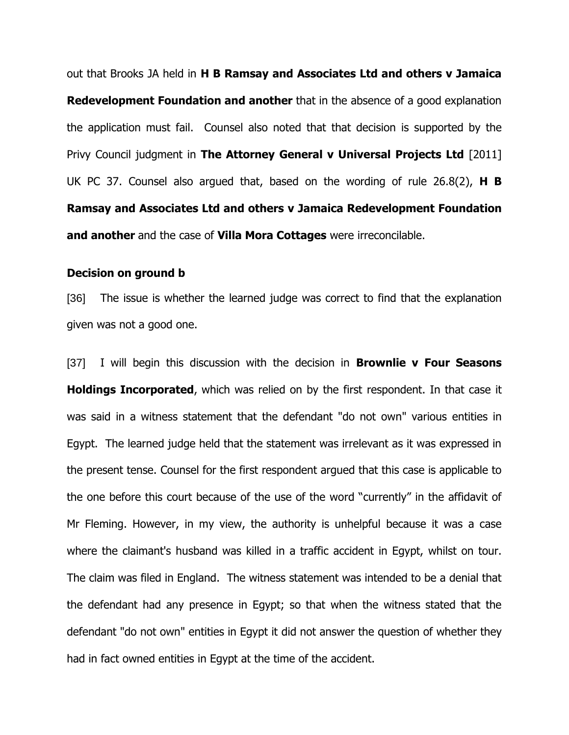out that Brooks JA held in **H B Ramsay and Associates Ltd and others v Jamaica Redevelopment Foundation and another** that in the absence of a good explanation the application must fail. Counsel also noted that that decision is supported by the Privy Council judgment in **The Attorney General v Universal Projects Ltd** [2011] UK PC 37. Counsel also argued that, based on the wording of rule 26.8(2), **H B Ramsay and Associates Ltd and others v Jamaica Redevelopment Foundation and another** and the case of **Villa Mora Cottages** were irreconcilable.

#### **Decision on ground b**

[36] The issue is whether the learned judge was correct to find that the explanation given was not a good one.

[37] I will begin this discussion with the decision in **Brownlie v Four Seasons Holdings Incorporated**, which was relied on by the first respondent. In that case it was said in a witness statement that the defendant "do not own" various entities in Egypt. The learned judge held that the statement was irrelevant as it was expressed in the present tense. Counsel for the first respondent argued that this case is applicable to the one before this court because of the use of the word "currently" in the affidavit of Mr Fleming. However, in my view, the authority is unhelpful because it was a case where the claimant's husband was killed in a traffic accident in Egypt, whilst on tour. The claim was filed in England. The witness statement was intended to be a denial that the defendant had any presence in Egypt; so that when the witness stated that the defendant "do not own" entities in Egypt it did not answer the question of whether they had in fact owned entities in Egypt at the time of the accident.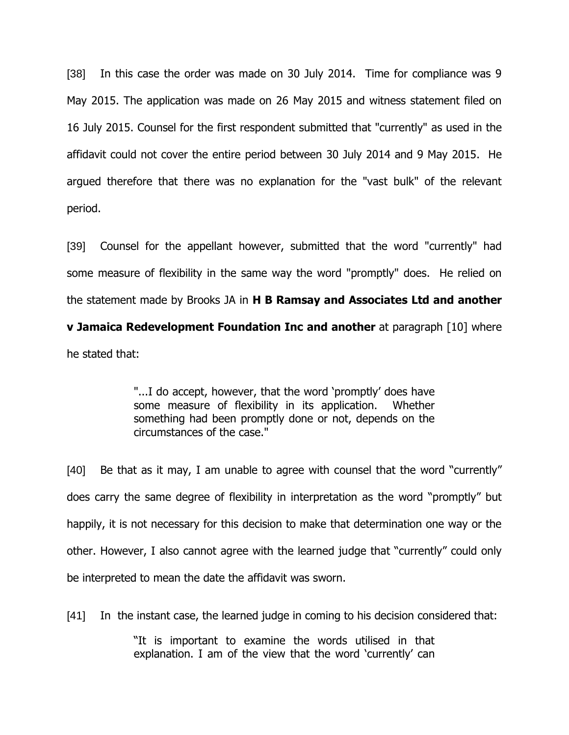[38] In this case the order was made on 30 July 2014. Time for compliance was 9 May 2015. The application was made on 26 May 2015 and witness statement filed on 16 July 2015. Counsel for the first respondent submitted that "currently" as used in the affidavit could not cover the entire period between 30 July 2014 and 9 May 2015. He argued therefore that there was no explanation for the "vast bulk" of the relevant period.

[39] Counsel for the appellant however, submitted that the word "currently" had some measure of flexibility in the same way the word "promptly" does. He relied on the statement made by Brooks JA in **H B Ramsay and Associates Ltd and another v Jamaica Redevelopment Foundation Inc and another** at paragraph [10] where

he stated that:

"...I do accept, however, that the word "promptly" does have some measure of flexibility in its application. Whether something had been promptly done or not, depends on the circumstances of the case."

[40] Be that as it may, I am unable to agree with counsel that the word "currently" does carry the same degree of flexibility in interpretation as the word "promptly" but happily, it is not necessary for this decision to make that determination one way or the other. However, I also cannot agree with the learned judge that "currently" could only be interpreted to mean the date the affidavit was sworn.

[41] In the instant case, the learned judge in coming to his decision considered that:

"It is important to examine the words utilised in that explanation. I am of the view that the word 'currently' can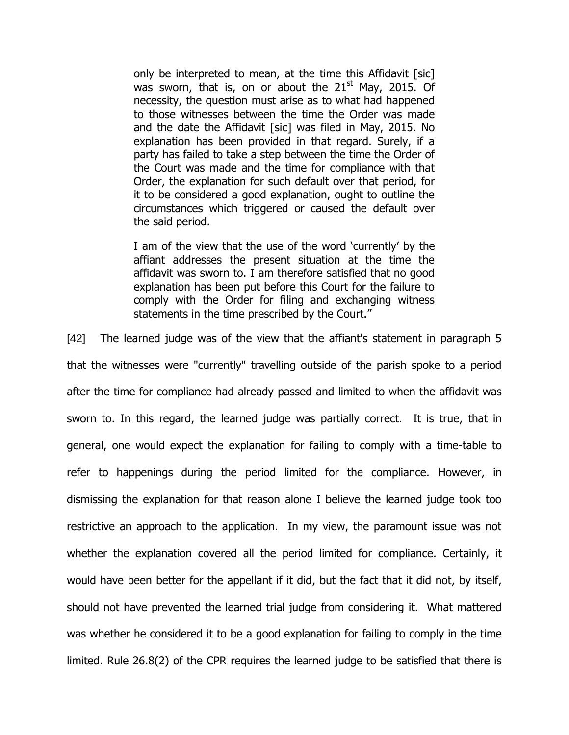only be interpreted to mean, at the time this Affidavit [sic] was sworn, that is, on or about the  $21<sup>st</sup>$  May, 2015. Of necessity, the question must arise as to what had happened to those witnesses between the time the Order was made and the date the Affidavit [sic] was filed in May, 2015. No explanation has been provided in that regard. Surely, if a party has failed to take a step between the time the Order of the Court was made and the time for compliance with that Order, the explanation for such default over that period, for it to be considered a good explanation, ought to outline the circumstances which triggered or caused the default over the said period.

I am of the view that the use of the word "currently" by the affiant addresses the present situation at the time the affidavit was sworn to. I am therefore satisfied that no good explanation has been put before this Court for the failure to comply with the Order for filing and exchanging witness statements in the time prescribed by the Court."

[42] The learned judge was of the view that the affiant's statement in paragraph 5 that the witnesses were "currently" travelling outside of the parish spoke to a period after the time for compliance had already passed and limited to when the affidavit was sworn to. In this regard, the learned judge was partially correct. It is true, that in general, one would expect the explanation for failing to comply with a time-table to refer to happenings during the period limited for the compliance. However, in dismissing the explanation for that reason alone I believe the learned judge took too restrictive an approach to the application. In my view, the paramount issue was not whether the explanation covered all the period limited for compliance. Certainly, it would have been better for the appellant if it did, but the fact that it did not, by itself, should not have prevented the learned trial judge from considering it. What mattered was whether he considered it to be a good explanation for failing to comply in the time limited. Rule 26.8(2) of the CPR requires the learned judge to be satisfied that there is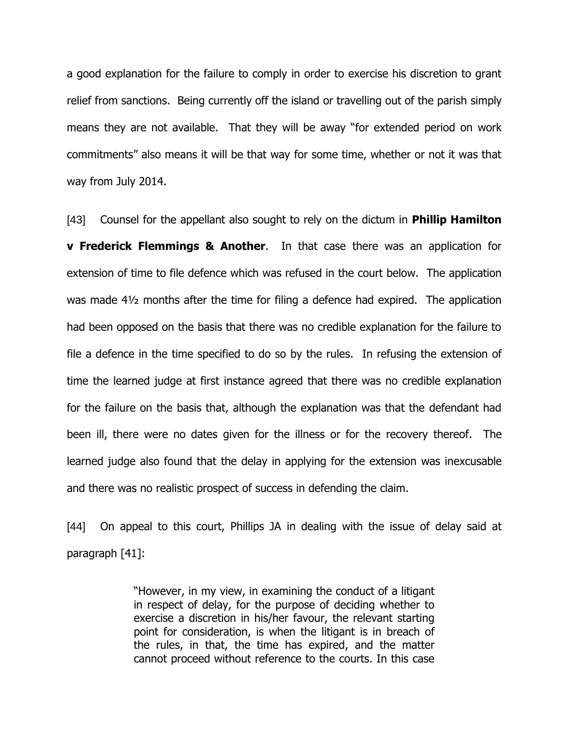a good explanation for the failure to comply in order to exercise his discretion to grant relief from sanctions. Being currently off the island or travelling out of the parish simply means they are not available. That they will be away "for extended period on work commitments" also means it will be that way for some time, whether or not it was that way from July 2014.

[43] Counsel for the appellant also sought to rely on the dictum in **Phillip Hamilton v Frederick Flemmings & Another**. In that case there was an application for extension of time to file defence which was refused in the court below. The application was made 4½ months after the time for filing a defence had expired. The application had been opposed on the basis that there was no credible explanation for the failure to file a defence in the time specified to do so by the rules. In refusing the extension of time the learned judge at first instance agreed that there was no credible explanation for the failure on the basis that, although the explanation was that the defendant had been ill, there were no dates given for the illness or for the recovery thereof. The learned judge also found that the delay in applying for the extension was inexcusable and there was no realistic prospect of success in defending the claim.

[44] On appeal to this court, Phillips JA in dealing with the issue of delay said at paragraph [41]:

> "However, in my view, in examining the conduct of a litigant in respect of delay, for the purpose of deciding whether to exercise a discretion in his/her favour, the relevant starting point for consideration, is when the litigant is in breach of the rules, in that, the time has expired, and the matter cannot proceed without reference to the courts. In this case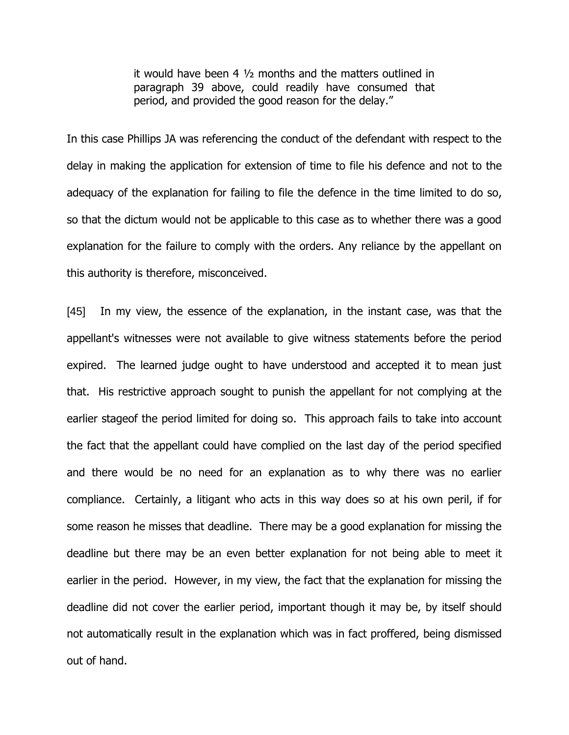it would have been 4 ½ months and the matters outlined in paragraph 39 above, could readily have consumed that period, and provided the good reason for the delay."

In this case Phillips JA was referencing the conduct of the defendant with respect to the delay in making the application for extension of time to file his defence and not to the adequacy of the explanation for failing to file the defence in the time limited to do so, so that the dictum would not be applicable to this case as to whether there was a good explanation for the failure to comply with the orders. Any reliance by the appellant on this authority is therefore, misconceived.

[45] In my view, the essence of the explanation, in the instant case, was that the appellant's witnesses were not available to give witness statements before the period expired. The learned judge ought to have understood and accepted it to mean just that. His restrictive approach sought to punish the appellant for not complying at the earlier stageof the period limited for doing so. This approach fails to take into account the fact that the appellant could have complied on the last day of the period specified and there would be no need for an explanation as to why there was no earlier compliance. Certainly, a litigant who acts in this way does so at his own peril, if for some reason he misses that deadline. There may be a good explanation for missing the deadline but there may be an even better explanation for not being able to meet it earlier in the period. However, in my view, the fact that the explanation for missing the deadline did not cover the earlier period, important though it may be, by itself should not automatically result in the explanation which was in fact proffered, being dismissed out of hand.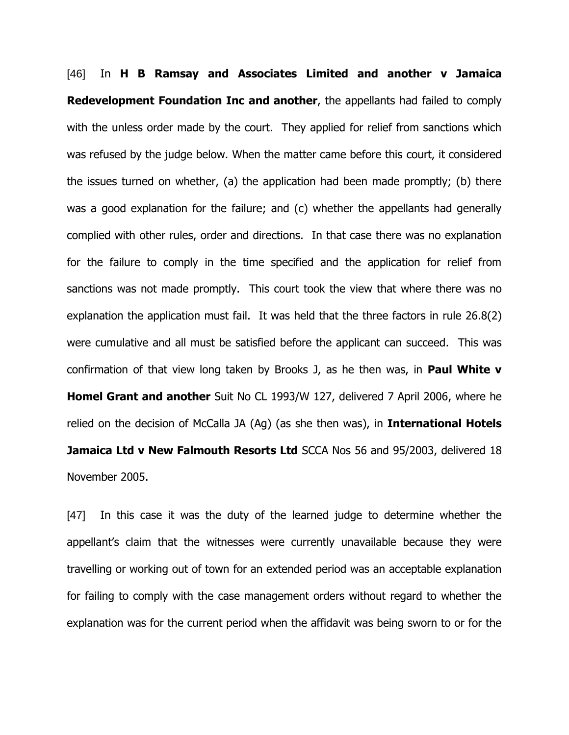[46] In **H B Ramsay and Associates Limited and another v Jamaica Redevelopment Foundation Inc and another**, the appellants had failed to comply with the unless order made by the court. They applied for relief from sanctions which was refused by the judge below. When the matter came before this court, it considered the issues turned on whether, (a) the application had been made promptly; (b) there was a good explanation for the failure; and (c) whether the appellants had generally complied with other rules, order and directions. In that case there was no explanation for the failure to comply in the time specified and the application for relief from sanctions was not made promptly. This court took the view that where there was no explanation the application must fail. It was held that the three factors in rule 26.8(2) were cumulative and all must be satisfied before the applicant can succeed. This was confirmation of that view long taken by Brooks J, as he then was, in **Paul White v Homel Grant and another** Suit No CL 1993/W 127, delivered 7 April 2006, where he relied on the decision of McCalla JA (Ag) (as she then was), in **International Hotels Jamaica Ltd v New Falmouth Resorts Ltd** SCCA Nos 56 and 95/2003, delivered 18 November 2005.

[47] In this case it was the duty of the learned judge to determine whether the appellant's claim that the witnesses were currently unavailable because they were travelling or working out of town for an extended period was an acceptable explanation for failing to comply with the case management orders without regard to whether the explanation was for the current period when the affidavit was being sworn to or for the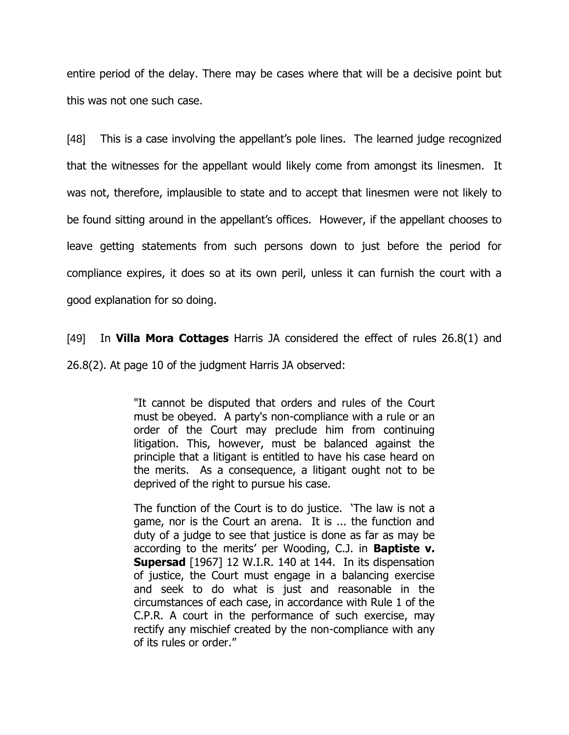entire period of the delay. There may be cases where that will be a decisive point but this was not one such case.

[48] This is a case involving the appellant's pole lines. The learned judge recognized that the witnesses for the appellant would likely come from amongst its linesmen. It was not, therefore, implausible to state and to accept that linesmen were not likely to be found sitting around in the appellant"s offices. However, if the appellant chooses to leave getting statements from such persons down to just before the period for compliance expires, it does so at its own peril, unless it can furnish the court with a good explanation for so doing.

[49] In **Villa Mora Cottages** Harris JA considered the effect of rules 26.8(1) and 26.8(2). At page 10 of the judgment Harris JA observed:

> "It cannot be disputed that orders and rules of the Court must be obeyed. A party's non-compliance with a rule or an order of the Court may preclude him from continuing litigation. This, however, must be balanced against the principle that a litigant is entitled to have his case heard on the merits. As a consequence, a litigant ought not to be deprived of the right to pursue his case.

> The function of the Court is to do justice. "The law is not a game, nor is the Court an arena. It is ... the function and duty of a judge to see that justice is done as far as may be according to the merits' per Wooding, C.J. in **Baptiste v. Supersad** [1967] 12 W.I.R. 140 at 144. In its dispensation of justice, the Court must engage in a balancing exercise and seek to do what is just and reasonable in the circumstances of each case, in accordance with Rule 1 of the C.P.R. A court in the performance of such exercise, may rectify any mischief created by the non-compliance with any of its rules or order."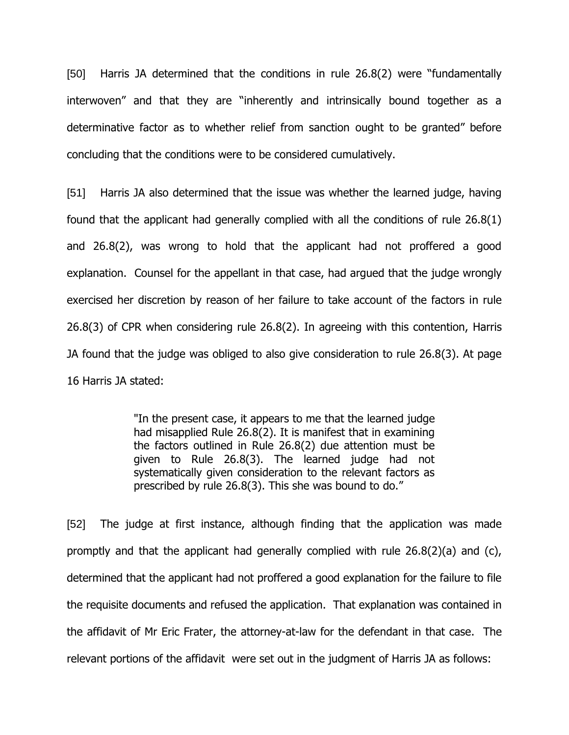[50] Harris JA determined that the conditions in rule 26.8(2) were "fundamentally interwoven" and that they are "inherently and intrinsically bound together as a determinative factor as to whether relief from sanction ought to be granted" before concluding that the conditions were to be considered cumulatively.

[51] Harris JA also determined that the issue was whether the learned judge, having found that the applicant had generally complied with all the conditions of rule 26.8(1) and 26.8(2), was wrong to hold that the applicant had not proffered a good explanation. Counsel for the appellant in that case, had argued that the judge wrongly exercised her discretion by reason of her failure to take account of the factors in rule 26.8(3) of CPR when considering rule 26.8(2). In agreeing with this contention, Harris JA found that the judge was obliged to also give consideration to rule 26.8(3). At page 16 Harris JA stated:

> "In the present case, it appears to me that the learned judge had misapplied Rule 26.8(2). It is manifest that in examining the factors outlined in Rule 26.8(2) due attention must be given to Rule 26.8(3). The learned judge had not systematically given consideration to the relevant factors as prescribed by rule 26.8(3). This she was bound to do."

[52] The judge at first instance, although finding that the application was made promptly and that the applicant had generally complied with rule 26.8(2)(a) and (c), determined that the applicant had not proffered a good explanation for the failure to file the requisite documents and refused the application. That explanation was contained in the affidavit of Mr Eric Frater, the attorney-at-law for the defendant in that case. The relevant portions of the affidavit were set out in the judgment of Harris JA as follows: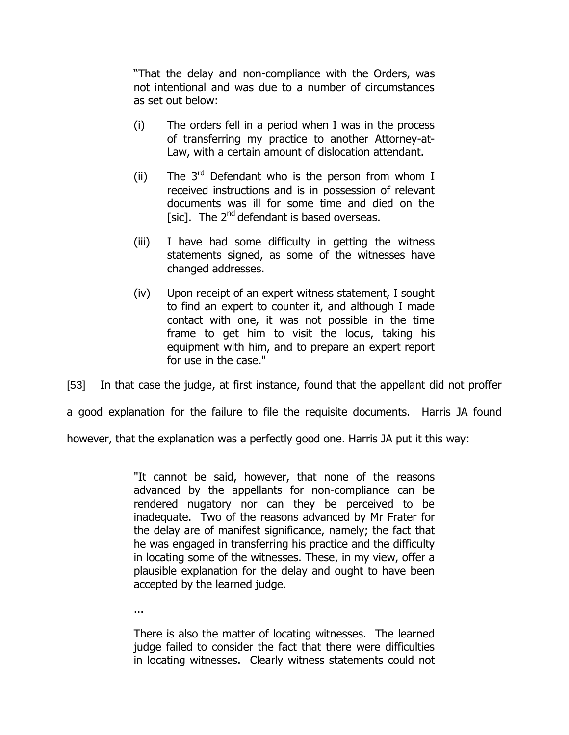"That the delay and non-compliance with the Orders, was not intentional and was due to a number of circumstances as set out below:

- (i) The orders fell in a period when I was in the process of transferring my practice to another Attorney-at-Law, with a certain amount of dislocation attendant.
- (ii) The  $3<sup>rd</sup>$  Defendant who is the person from whom I received instructions and is in possession of relevant documents was ill for some time and died on the [sic]. The  $2^{nd}$  defendant is based overseas.
- (iii) I have had some difficulty in getting the witness statements signed, as some of the witnesses have changed addresses.
- (iv) Upon receipt of an expert witness statement, I sought to find an expert to counter it, and although I made contact with one, it was not possible in the time frame to get him to visit the locus, taking his equipment with him, and to prepare an expert report for use in the case."

[53] In that case the judge, at first instance, found that the appellant did not proffer

a good explanation for the failure to file the requisite documents. Harris JA found

however, that the explanation was a perfectly good one. Harris JA put it this way:

"It cannot be said, however, that none of the reasons advanced by the appellants for non-compliance can be rendered nugatory nor can they be perceived to be inadequate. Two of the reasons advanced by Mr Frater for the delay are of manifest significance, namely; the fact that he was engaged in transferring his practice and the difficulty in locating some of the witnesses. These, in my view, offer a plausible explanation for the delay and ought to have been accepted by the learned judge.

...

There is also the matter of locating witnesses. The learned judge failed to consider the fact that there were difficulties in locating witnesses. Clearly witness statements could not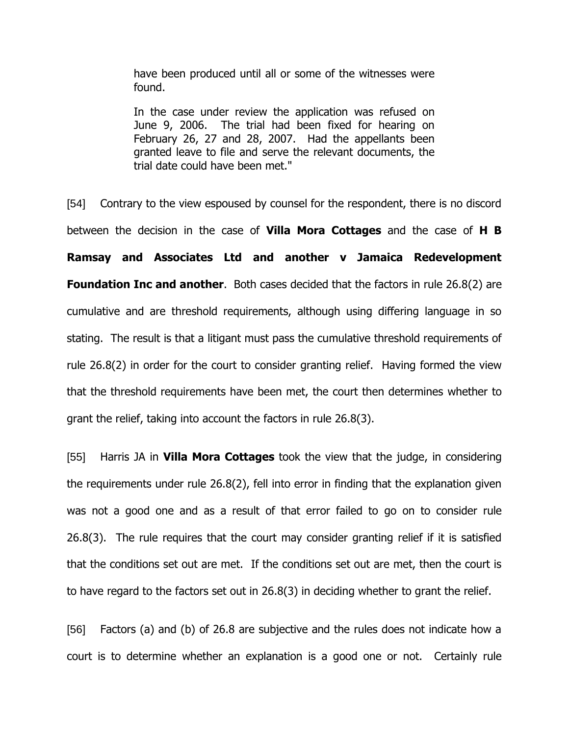have been produced until all or some of the witnesses were found.

In the case under review the application was refused on June 9, 2006. The trial had been fixed for hearing on February 26, 27 and 28, 2007. Had the appellants been granted leave to file and serve the relevant documents, the trial date could have been met."

[54] Contrary to the view espoused by counsel for the respondent, there is no discord between the decision in the case of **Villa Mora Cottages** and the case of **H B Ramsay and Associates Ltd and another v Jamaica Redevelopment Foundation Inc and another.** Both cases decided that the factors in rule 26.8(2) are cumulative and are threshold requirements, although using differing language in so stating. The result is that a litigant must pass the cumulative threshold requirements of rule 26.8(2) in order for the court to consider granting relief. Having formed the view that the threshold requirements have been met, the court then determines whether to grant the relief, taking into account the factors in rule 26.8(3).

[55] Harris JA in **Villa Mora Cottages** took the view that the judge, in considering the requirements under rule 26.8(2), fell into error in finding that the explanation given was not a good one and as a result of that error failed to go on to consider rule 26.8(3). The rule requires that the court may consider granting relief if it is satisfied that the conditions set out are met. If the conditions set out are met, then the court is to have regard to the factors set out in 26.8(3) in deciding whether to grant the relief.

[56] Factors (a) and (b) of 26.8 are subjective and the rules does not indicate how a court is to determine whether an explanation is a good one or not. Certainly rule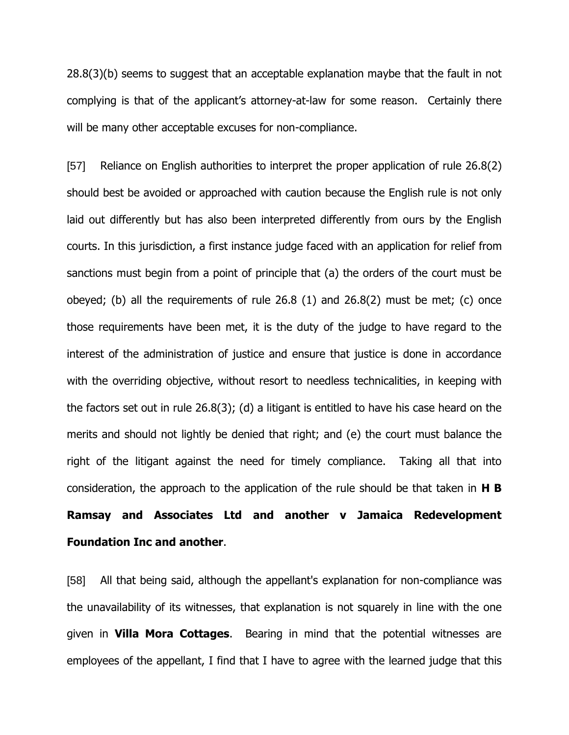28.8(3)(b) seems to suggest that an acceptable explanation maybe that the fault in not complying is that of the applicant's attorney-at-law for some reason. Certainly there will be many other acceptable excuses for non-compliance.

[57] Reliance on English authorities to interpret the proper application of rule 26.8(2) should best be avoided or approached with caution because the English rule is not only laid out differently but has also been interpreted differently from ours by the English courts. In this jurisdiction, a first instance judge faced with an application for relief from sanctions must begin from a point of principle that (a) the orders of the court must be obeyed; (b) all the requirements of rule 26.8 (1) and 26.8(2) must be met; (c) once those requirements have been met, it is the duty of the judge to have regard to the interest of the administration of justice and ensure that justice is done in accordance with the overriding objective, without resort to needless technicalities, in keeping with the factors set out in rule 26.8(3); (d) a litigant is entitled to have his case heard on the merits and should not lightly be denied that right; and (e) the court must balance the right of the litigant against the need for timely compliance. Taking all that into consideration, the approach to the application of the rule should be that taken in **H B Ramsay and Associates Ltd and another v Jamaica Redevelopment Foundation Inc and another**.

[58] All that being said, although the appellant's explanation for non-compliance was the unavailability of its witnesses, that explanation is not squarely in line with the one given in **Villa Mora Cottages**. Bearing in mind that the potential witnesses are employees of the appellant, I find that I have to agree with the learned judge that this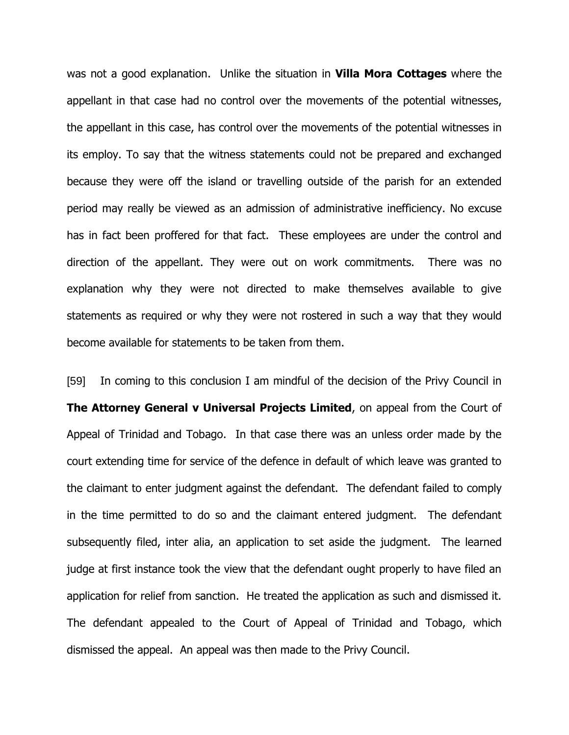was not a good explanation. Unlike the situation in **Villa Mora Cottages** where the appellant in that case had no control over the movements of the potential witnesses, the appellant in this case, has control over the movements of the potential witnesses in its employ. To say that the witness statements could not be prepared and exchanged because they were off the island or travelling outside of the parish for an extended period may really be viewed as an admission of administrative inefficiency. No excuse has in fact been proffered for that fact. These employees are under the control and direction of the appellant. They were out on work commitments. There was no explanation why they were not directed to make themselves available to give statements as required or why they were not rostered in such a way that they would become available for statements to be taken from them.

[59] In coming to this conclusion I am mindful of the decision of the Privy Council in **The Attorney General v Universal Projects Limited**, on appeal from the Court of Appeal of Trinidad and Tobago. In that case there was an unless order made by the court extending time for service of the defence in default of which leave was granted to the claimant to enter judgment against the defendant. The defendant failed to comply in the time permitted to do so and the claimant entered judgment. The defendant subsequently filed, inter alia, an application to set aside the judgment. The learned judge at first instance took the view that the defendant ought properly to have filed an application for relief from sanction. He treated the application as such and dismissed it. The defendant appealed to the Court of Appeal of Trinidad and Tobago, which dismissed the appeal. An appeal was then made to the Privy Council.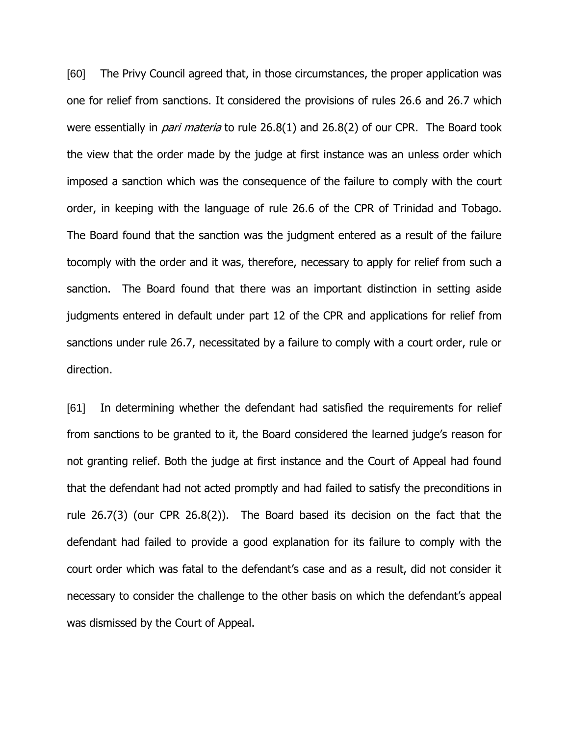[60] The Privy Council agreed that, in those circumstances, the proper application was one for relief from sanctions. It considered the provisions of rules 26.6 and 26.7 which were essentially in *pari materia* to rule 26.8(1) and 26.8(2) of our CPR. The Board took the view that the order made by the judge at first instance was an unless order which imposed a sanction which was the consequence of the failure to comply with the court order, in keeping with the language of rule 26.6 of the CPR of Trinidad and Tobago. The Board found that the sanction was the judgment entered as a result of the failure tocomply with the order and it was, therefore, necessary to apply for relief from such a sanction. The Board found that there was an important distinction in setting aside judgments entered in default under part 12 of the CPR and applications for relief from sanctions under rule 26.7, necessitated by a failure to comply with a court order, rule or direction.

[61] In determining whether the defendant had satisfied the requirements for relief from sanctions to be granted to it, the Board considered the learned judge"s reason for not granting relief. Both the judge at first instance and the Court of Appeal had found that the defendant had not acted promptly and had failed to satisfy the preconditions in rule 26.7(3) (our CPR 26.8(2)). The Board based its decision on the fact that the defendant had failed to provide a good explanation for its failure to comply with the court order which was fatal to the defendant"s case and as a result, did not consider it necessary to consider the challenge to the other basis on which the defendant's appeal was dismissed by the Court of Appeal.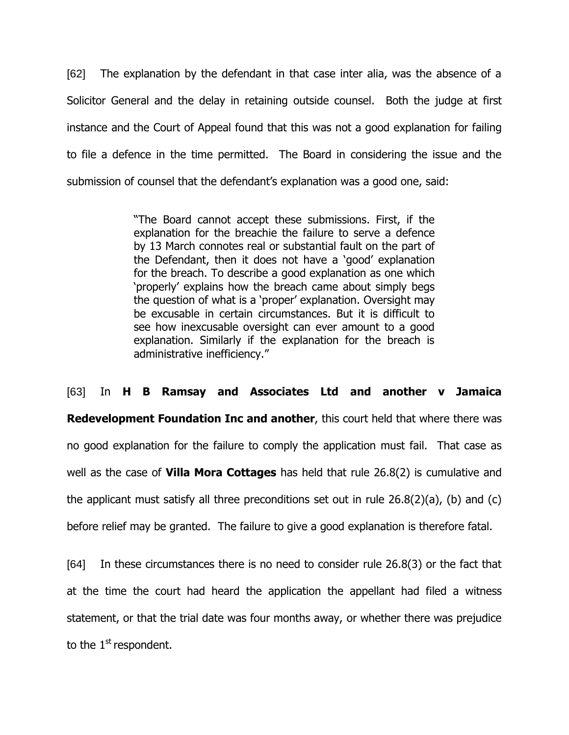[62] The explanation by the defendant in that case inter alia, was the absence of a Solicitor General and the delay in retaining outside counsel. Both the judge at first instance and the Court of Appeal found that this was not a good explanation for failing to file a defence in the time permitted. The Board in considering the issue and the submission of counsel that the defendant"s explanation was a good one, said:

> "The Board cannot accept these submissions. First, if the explanation for the breachie the failure to serve a defence by 13 March connotes real or substantial fault on the part of the Defendant, then it does not have a "good" explanation for the breach. To describe a good explanation as one which "properly" explains how the breach came about simply begs the question of what is a "proper" explanation. Oversight may be excusable in certain circumstances. But it is difficult to see how inexcusable oversight can ever amount to a good explanation. Similarly if the explanation for the breach is administrative inefficiency."

[63] In **H B Ramsay and Associates Ltd and another v Jamaica Redevelopment Foundation Inc and another**, this court held that where there was no good explanation for the failure to comply the application must fail. That case as well as the case of **Villa Mora Cottages** has held that rule 26.8(2) is cumulative and the applicant must satisfy all three preconditions set out in rule 26.8(2)(a), (b) and (c) before relief may be granted. The failure to give a good explanation is therefore fatal.

[64] In these circumstances there is no need to consider rule 26.8(3) or the fact that at the time the court had heard the application the appellant had filed a witness statement, or that the trial date was four months away, or whether there was prejudice to the  $1<sup>st</sup>$  respondent.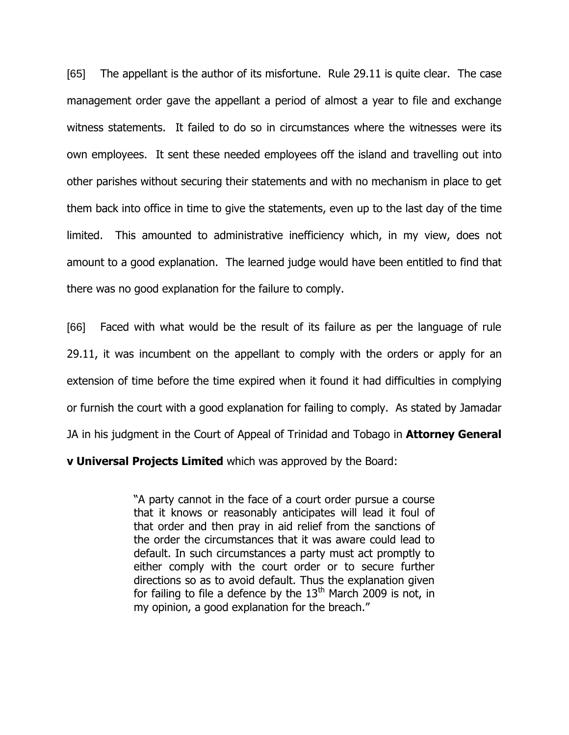[65] The appellant is the author of its misfortune. Rule 29.11 is quite clear. The case management order gave the appellant a period of almost a year to file and exchange witness statements. It failed to do so in circumstances where the witnesses were its own employees. It sent these needed employees off the island and travelling out into other parishes without securing their statements and with no mechanism in place to get them back into office in time to give the statements, even up to the last day of the time limited. This amounted to administrative inefficiency which, in my view, does not amount to a good explanation. The learned judge would have been entitled to find that there was no good explanation for the failure to comply.

[66] Faced with what would be the result of its failure as per the language of rule 29.11, it was incumbent on the appellant to comply with the orders or apply for an extension of time before the time expired when it found it had difficulties in complying or furnish the court with a good explanation for failing to comply. As stated by Jamadar JA in his judgment in the Court of Appeal of Trinidad and Tobago in **Attorney General** 

**v Universal Projects Limited** which was approved by the Board:

"A party cannot in the face of a court order pursue a course that it knows or reasonably anticipates will lead it foul of that order and then pray in aid relief from the sanctions of the order the circumstances that it was aware could lead to default. In such circumstances a party must act promptly to either comply with the court order or to secure further directions so as to avoid default. Thus the explanation given for failing to file a defence by the  $13<sup>th</sup>$  March 2009 is not, in my opinion, a good explanation for the breach."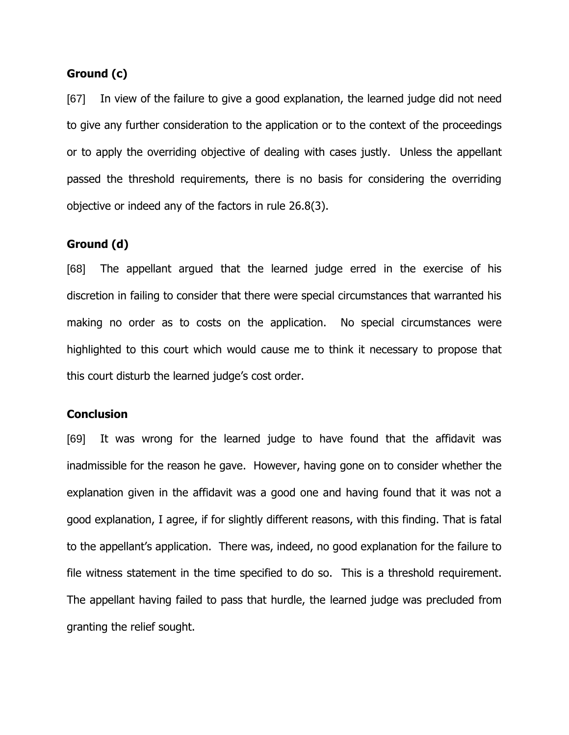## **Ground (c)**

[67] In view of the failure to give a good explanation, the learned judge did not need to give any further consideration to the application or to the context of the proceedings or to apply the overriding objective of dealing with cases justly. Unless the appellant passed the threshold requirements, there is no basis for considering the overriding objective or indeed any of the factors in rule 26.8(3).

## **Ground (d)**

[68] The appellant argued that the learned judge erred in the exercise of his discretion in failing to consider that there were special circumstances that warranted his making no order as to costs on the application. No special circumstances were highlighted to this court which would cause me to think it necessary to propose that this court disturb the learned judge"s cost order.

#### **Conclusion**

[69] It was wrong for the learned judge to have found that the affidavit was inadmissible for the reason he gave. However, having gone on to consider whether the explanation given in the affidavit was a good one and having found that it was not a good explanation, I agree, if for slightly different reasons, with this finding. That is fatal to the appellant"s application. There was, indeed, no good explanation for the failure to file witness statement in the time specified to do so. This is a threshold requirement. The appellant having failed to pass that hurdle, the learned judge was precluded from granting the relief sought.